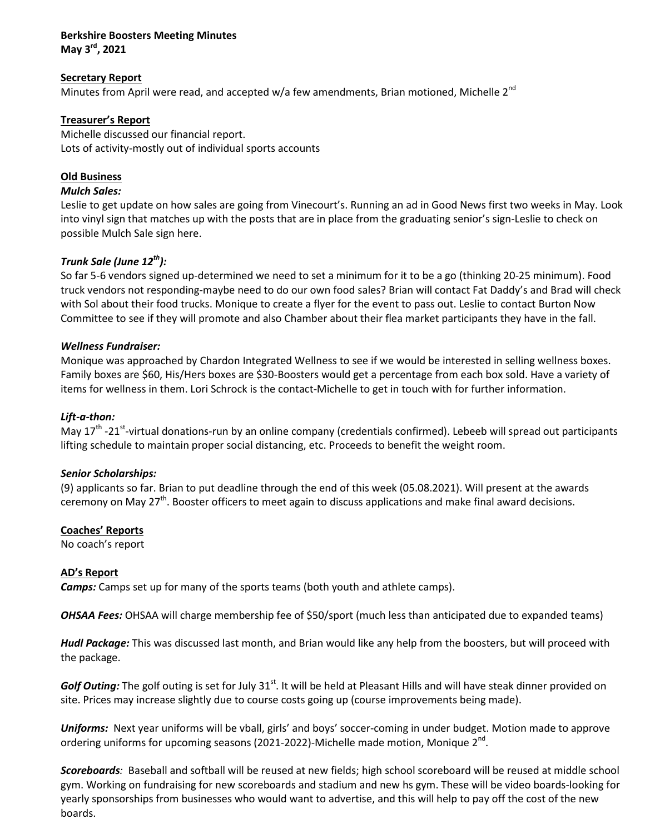## **Berkshire Boosters Meeting Minutes May 3rd, 2021**

# **Secretary Report**

Minutes from April were read, and accepted w/a few amendments, Brian motioned, Michelle  $2^{nd}$ 

## **Treasurer's Report**

Michelle discussed our financial report. Lots of activity-mostly out of individual sports accounts

# **Old Business**

### *Mulch Sales:*

Leslie to get update on how sales are going from Vinecourt's. Running an ad in Good News first two weeks in May. Look into vinyl sign that matches up with the posts that are in place from the graduating senior's sign-Leslie to check on possible Mulch Sale sign here.

# *Trunk Sale (June 12th):*

So far 5-6 vendors signed up-determined we need to set a minimum for it to be a go (thinking 20-25 minimum). Food truck vendors not responding-maybe need to do our own food sales? Brian will contact Fat Daddy's and Brad will check with Sol about their food trucks. Monique to create a flyer for the event to pass out. Leslie to contact Burton Now Committee to see if they will promote and also Chamber about their flea market participants they have in the fall.

## *Wellness Fundraiser:*

Monique was approached by Chardon Integrated Wellness to see if we would be interested in selling wellness boxes. Family boxes are \$60, His/Hers boxes are \$30-Boosters would get a percentage from each box sold. Have a variety of items for wellness in them. Lori Schrock is the contact-Michelle to get in touch with for further information.

### *Lift-a-thon:*

May  $17<sup>th</sup>$ -21<sup>st</sup>-virtual donations-run by an online company (credentials confirmed). Lebeeb will spread out participants lifting schedule to maintain proper social distancing, etc. Proceeds to benefit the weight room.

### *Senior Scholarships:*

(9) applicants so far. Brian to put deadline through the end of this week (05.08.2021). Will present at the awards ceremony on May 27<sup>th</sup>. Booster officers to meet again to discuss applications and make final award decisions.

### **Coaches' Reports**

No coach's report

# **AD's Report**

*Camps:* Camps set up for many of the sports teams (both youth and athlete camps).

*OHSAA Fees:* OHSAA will charge membership fee of \$50/sport (much less than anticipated due to expanded teams)

*Hudl Package:* This was discussed last month, and Brian would like any help from the boosters, but will proceed with the package.

Golf Outing: The golf outing is set for July 31<sup>st</sup>. It will be held at Pleasant Hills and will have steak dinner provided on site. Prices may increase slightly due to course costs going up (course improvements being made).

**Uniforms:** Next year uniforms will be vball, girls' and boys' soccer-coming in under budget. Motion made to approve ordering uniforms for upcoming seasons (2021-2022)-Michelle made motion, Monique  $2<sup>nd</sup>$ .

*Scoreboards:* Baseball and softball will be reused at new fields; high school scoreboard will be reused at middle school gym. Working on fundraising for new scoreboards and stadium and new hs gym. These will be video boards-looking for yearly sponsorships from businesses who would want to advertise, and this will help to pay off the cost of the new boards.